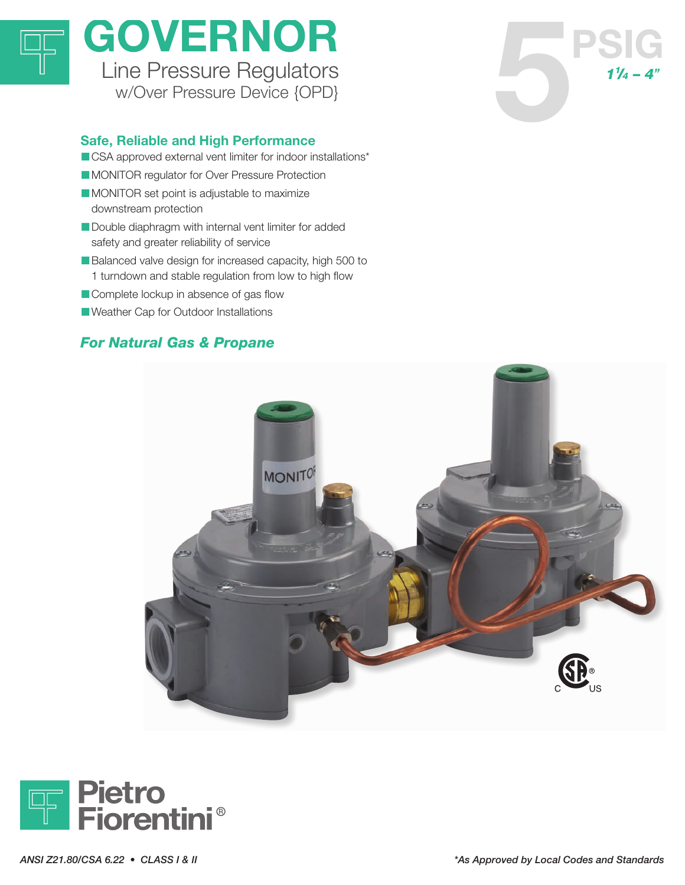

# GOVERNOR Line Pressure Regulators<br>
w/Over Pressure Device (OPD) **OVERNOR**<br>
Ine Pressure Regulators<br>
W/Over Pressure Device {OPD}<br> **Reliable and High Performance**

## Safe, Reliable and High Performance

- CSA approved external vent limiter for indoor installations\*
- **INONITOR regulator for Over Pressure Protection**
- **IMONITOR set point is adjustable to maximize** downstream protection
- **Double diaphragm with internal vent limiter for added** safety and greater reliability of service
- Balanced valve design for increased capacity, high 500 to 1 turndown and stable regulation from low to high flow
- **Complete lockup in absence of gas flow**
- **I** Weather Cap for Outdoor Installations

# For Natural Gas & Propane





 $1<sup>1</sup>/<sub>4</sub> - 4<sup>n</sup>$